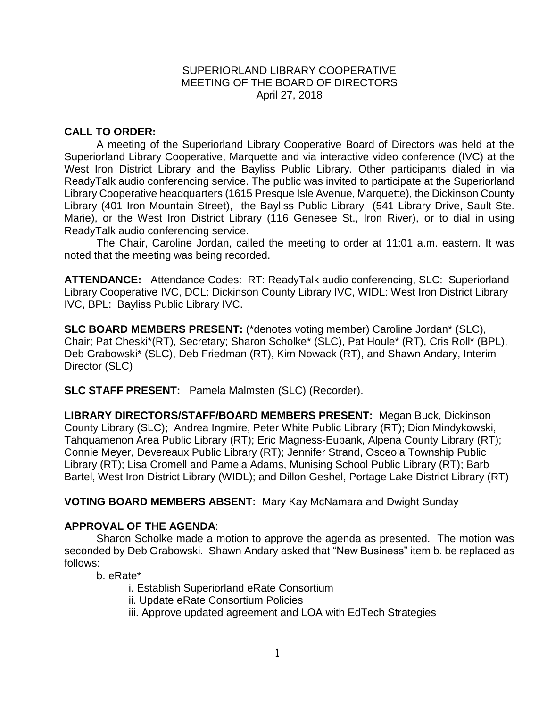## SUPERIORLAND LIBRARY COOPERATIVE MEETING OF THE BOARD OF DIRECTORS April 27, 2018

## **CALL TO ORDER:**

A meeting of the Superiorland Library Cooperative Board of Directors was held at the Superiorland Library Cooperative, Marquette and via interactive video conference (IVC) at the West Iron District Library and the Bayliss Public Library. Other participants dialed in via ReadyTalk audio conferencing service. The public was invited to participate at the Superiorland Library Cooperative headquarters (1615 Presque Isle Avenue, Marquette), the Dickinson County Library (401 Iron Mountain Street), the Bayliss Public Library (541 Library Drive, Sault Ste. Marie), or the West Iron District Library (116 Genesee St., Iron River), or to dial in using ReadyTalk audio conferencing service.

The Chair, Caroline Jordan, called the meeting to order at 11:01 a.m. eastern. It was noted that the meeting was being recorded.

**ATTENDANCE:** Attendance Codes: RT: ReadyTalk audio conferencing, SLC: Superiorland Library Cooperative IVC, DCL: Dickinson County Library IVC, WIDL: West Iron District Library IVC, BPL: Bayliss Public Library IVC.

**SLC BOARD MEMBERS PRESENT:** (\*denotes voting member) Caroline Jordan\* (SLC), Chair; Pat Cheski\*(RT), Secretary; Sharon Scholke\* (SLC), Pat Houle\* (RT), Cris Roll\* (BPL), Deb Grabowski\* (SLC), Deb Friedman (RT), Kim Nowack (RT), and Shawn Andary, Interim Director (SLC)

**SLC STAFF PRESENT:** Pamela Malmsten (SLC) (Recorder).

**LIBRARY DIRECTORS/STAFF/BOARD MEMBERS PRESENT:** Megan Buck, Dickinson County Library (SLC); Andrea Ingmire, Peter White Public Library (RT); Dion Mindykowski, Tahquamenon Area Public Library (RT); Eric Magness-Eubank, Alpena County Library (RT); Connie Meyer, Devereaux Public Library (RT); Jennifer Strand, Osceola Township Public Library (RT); Lisa Cromell and Pamela Adams, Munising School Public Library (RT); Barb Bartel, West Iron District Library (WIDL); and Dillon Geshel, Portage Lake District Library (RT)

**VOTING BOARD MEMBERS ABSENT:** Mary Kay McNamara and Dwight Sunday

## **APPROVAL OF THE AGENDA**:

Sharon Scholke made a motion to approve the agenda as presented. The motion was seconded by Deb Grabowski. Shawn Andary asked that "New Business" item b. be replaced as follows:

b. eRate\*

i. Establish Superiorland eRate Consortium ii. Update eRate Consortium Policies iii. Approve updated agreement and LOA with EdTech Strategies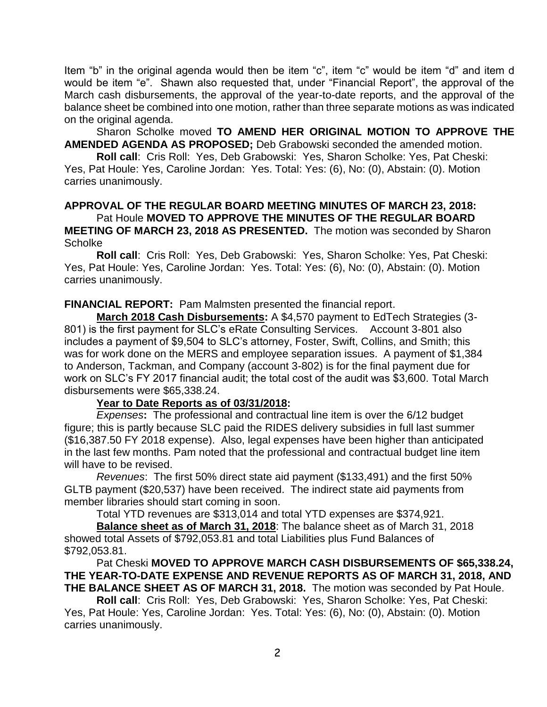Item "b" in the original agenda would then be item "c", item "c" would be item "d" and item d would be item "e". Shawn also requested that, under "Financial Report", the approval of the March cash disbursements, the approval of the year-to-date reports, and the approval of the balance sheet be combined into one motion, rather than three separate motions as was indicated on the original agenda.

Sharon Scholke moved **TO AMEND HER ORIGINAL MOTION TO APPROVE THE AMENDED AGENDA AS PROPOSED;** Deb Grabowski seconded the amended motion.

**Roll call**: Cris Roll: Yes, Deb Grabowski: Yes, Sharon Scholke: Yes, Pat Cheski: Yes, Pat Houle: Yes, Caroline Jordan: Yes. Total: Yes: (6), No: (0), Abstain: (0). Motion carries unanimously.

# **APPROVAL OF THE REGULAR BOARD MEETING MINUTES OF MARCH 23, 2018:**

Pat Houle **MOVED TO APPROVE THE MINUTES OF THE REGULAR BOARD MEETING OF MARCH 23, 2018 AS PRESENTED.** The motion was seconded by Sharon **Scholke** 

**Roll call**: Cris Roll: Yes, Deb Grabowski: Yes, Sharon Scholke: Yes, Pat Cheski: Yes, Pat Houle: Yes, Caroline Jordan: Yes. Total: Yes: (6), No: (0), Abstain: (0). Motion carries unanimously.

## **FINANCIAL REPORT:** Pam Malmsten presented the financial report.

**March 2018 Cash Disbursements:** A \$4,570 payment to EdTech Strategies (3- 801) is the first payment for SLC's eRate Consulting Services. Account 3-801 also includes a payment of \$9,504 to SLC's attorney, Foster, Swift, Collins, and Smith; this was for work done on the MERS and employee separation issues. A payment of \$1,384 to Anderson, Tackman, and Company (account 3-802) is for the final payment due for work on SLC's FY 2017 financial audit; the total cost of the audit was \$3,600. Total March disbursements were \$65,338.24.

#### **Year to Date Reports as of 03/31/2018:**

*Expenses***:** The professional and contractual line item is over the 6/12 budget figure; this is partly because SLC paid the RIDES delivery subsidies in full last summer (\$16,387.50 FY 2018 expense). Also, legal expenses have been higher than anticipated in the last few months. Pam noted that the professional and contractual budget line item will have to be revised.

*Revenues*: The first 50% direct state aid payment (\$133,491) and the first 50% GLTB payment (\$20,537) have been received. The indirect state aid payments from member libraries should start coming in soon.

Total YTD revenues are \$313,014 and total YTD expenses are \$374,921.

**Balance sheet as of March 31, 2018**: The balance sheet as of March 31, 2018 showed total Assets of \$792,053.81 and total Liabilities plus Fund Balances of \$792,053.81.

### Pat Cheski **MOVED TO APPROVE MARCH CASH DISBURSEMENTS OF \$65,338.24, THE YEAR-TO-DATE EXPENSE AND REVENUE REPORTS AS OF MARCH 31, 2018, AND THE BALANCE SHEET AS OF MARCH 31, 2018.** The motion was seconded by Pat Houle.

**Roll call**: Cris Roll: Yes, Deb Grabowski: Yes, Sharon Scholke: Yes, Pat Cheski: Yes, Pat Houle: Yes, Caroline Jordan: Yes. Total: Yes: (6), No: (0), Abstain: (0). Motion carries unanimously.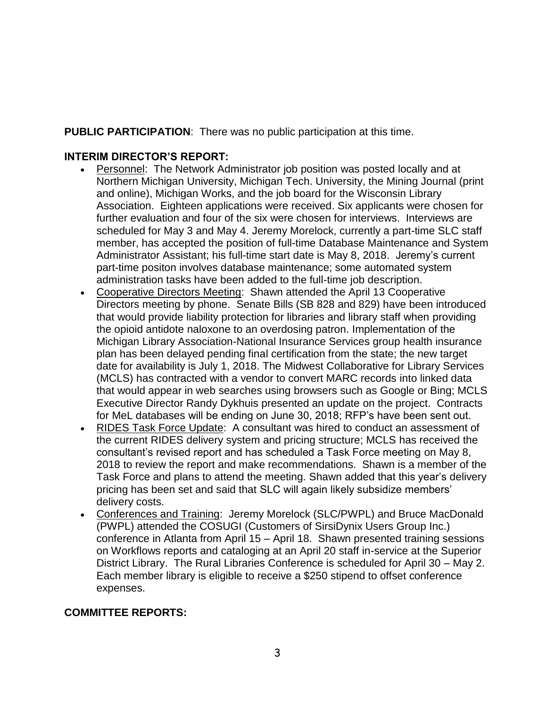**PUBLIC PARTICIPATION**: There was no public participation at this time.

## **INTERIM DIRECTOR'S REPORT:**

- Personnel: The Network Administrator job position was posted locally and at Northern Michigan University, Michigan Tech. University, the Mining Journal (print and online), Michigan Works, and the job board for the Wisconsin Library Association. Eighteen applications were received. Six applicants were chosen for further evaluation and four of the six were chosen for interviews. Interviews are scheduled for May 3 and May 4. Jeremy Morelock, currently a part-time SLC staff member, has accepted the position of full-time Database Maintenance and System Administrator Assistant; his full-time start date is May 8, 2018. Jeremy's current part-time positon involves database maintenance; some automated system administration tasks have been added to the full-time job description.
- Cooperative Directors Meeting: Shawn attended the April 13 Cooperative Directors meeting by phone. Senate Bills (SB 828 and 829) have been introduced that would provide liability protection for libraries and library staff when providing the opioid antidote naloxone to an overdosing patron. Implementation of the Michigan Library Association-National Insurance Services group health insurance plan has been delayed pending final certification from the state; the new target date for availability is July 1, 2018. The Midwest Collaborative for Library Services (MCLS) has contracted with a vendor to convert MARC records into linked data that would appear in web searches using browsers such as Google or Bing; MCLS Executive Director Randy Dykhuis presented an update on the project. Contracts for MeL databases will be ending on June 30, 2018; RFP's have been sent out.
- RIDES Task Force Update: A consultant was hired to conduct an assessment of the current RIDES delivery system and pricing structure; MCLS has received the consultant's revised report and has scheduled a Task Force meeting on May 8, 2018 to review the report and make recommendations. Shawn is a member of the Task Force and plans to attend the meeting. Shawn added that this year's delivery pricing has been set and said that SLC will again likely subsidize members' delivery costs.
- Conferences and Training: Jeremy Morelock (SLC/PWPL) and Bruce MacDonald (PWPL) attended the COSUGI (Customers of SirsiDynix Users Group Inc.) conference in Atlanta from April 15 – April 18. Shawn presented training sessions on Workflows reports and cataloging at an April 20 staff in-service at the Superior District Library. The Rural Libraries Conference is scheduled for April 30 – May 2. Each member library is eligible to receive a \$250 stipend to offset conference expenses.

# **COMMITTEE REPORTS:**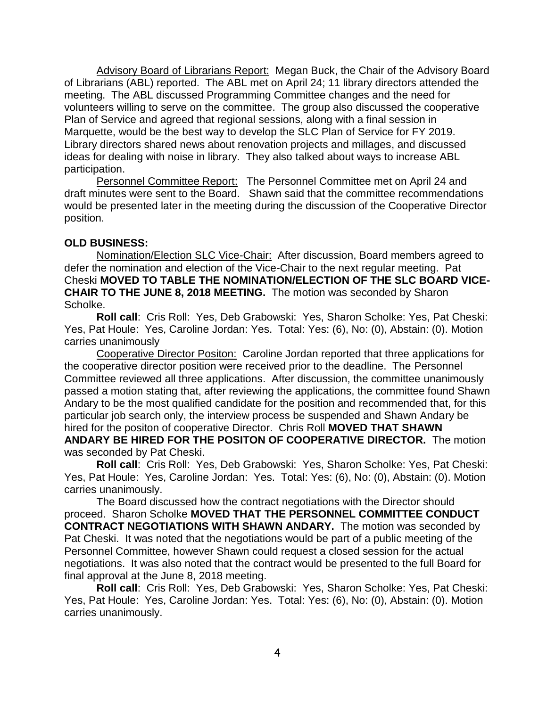Advisory Board of Librarians Report: Megan Buck, the Chair of the Advisory Board of Librarians (ABL) reported. The ABL met on April 24; 11 library directors attended the meeting. The ABL discussed Programming Committee changes and the need for volunteers willing to serve on the committee. The group also discussed the cooperative Plan of Service and agreed that regional sessions, along with a final session in Marquette, would be the best way to develop the SLC Plan of Service for FY 2019. Library directors shared news about renovation projects and millages, and discussed ideas for dealing with noise in library. They also talked about ways to increase ABL participation.

Personnel Committee Report: The Personnel Committee met on April 24 and draft minutes were sent to the Board. Shawn said that the committee recommendations would be presented later in the meeting during the discussion of the Cooperative Director position.

## **OLD BUSINESS:**

Nomination/Election SLC Vice-Chair: After discussion, Board members agreed to defer the nomination and election of the Vice-Chair to the next regular meeting. Pat Cheski **MOVED TO TABLE THE NOMINATION/ELECTION OF THE SLC BOARD VICE-CHAIR TO THE JUNE 8, 2018 MEETING.** The motion was seconded by Sharon Scholke.

**Roll call**: Cris Roll: Yes, Deb Grabowski: Yes, Sharon Scholke: Yes, Pat Cheski: Yes, Pat Houle: Yes, Caroline Jordan: Yes. Total: Yes: (6), No: (0), Abstain: (0). Motion carries unanimously

Cooperative Director Positon: Caroline Jordan reported that three applications for the cooperative director position were received prior to the deadline. The Personnel Committee reviewed all three applications. After discussion, the committee unanimously passed a motion stating that, after reviewing the applications, the committee found Shawn Andary to be the most qualified candidate for the position and recommended that, for this particular job search only, the interview process be suspended and Shawn Andary be hired for the positon of cooperative Director. Chris Roll **MOVED THAT SHAWN ANDARY BE HIRED FOR THE POSITON OF COOPERATIVE DIRECTOR.** The motion was seconded by Pat Cheski.

**Roll call**: Cris Roll: Yes, Deb Grabowski: Yes, Sharon Scholke: Yes, Pat Cheski: Yes, Pat Houle: Yes, Caroline Jordan: Yes. Total: Yes: (6), No: (0), Abstain: (0). Motion carries unanimously.

The Board discussed how the contract negotiations with the Director should proceed. Sharon Scholke **MOVED THAT THE PERSONNEL COMMITTEE CONDUCT CONTRACT NEGOTIATIONS WITH SHAWN ANDARY.** The motion was seconded by Pat Cheski. It was noted that the negotiations would be part of a public meeting of the Personnel Committee, however Shawn could request a closed session for the actual negotiations. It was also noted that the contract would be presented to the full Board for final approval at the June 8, 2018 meeting.

**Roll call**: Cris Roll: Yes, Deb Grabowski: Yes, Sharon Scholke: Yes, Pat Cheski: Yes, Pat Houle: Yes, Caroline Jordan: Yes. Total: Yes: (6), No: (0), Abstain: (0). Motion carries unanimously.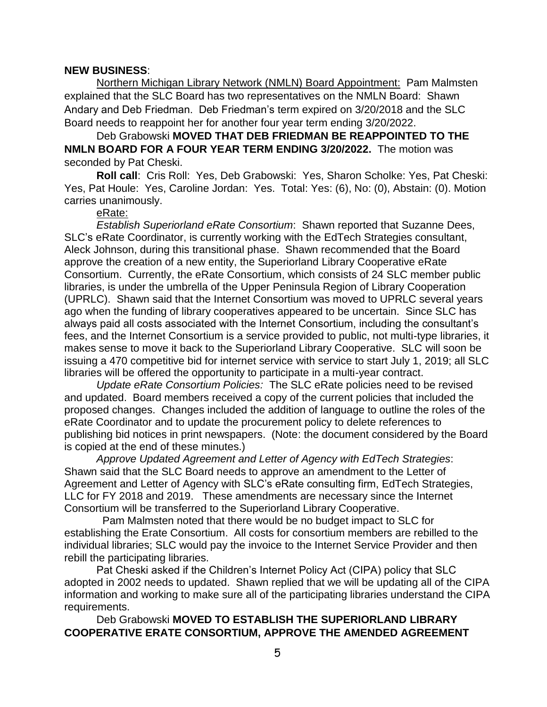#### **NEW BUSINESS**:

Northern Michigan Library Network (NMLN) Board Appointment: Pam Malmsten explained that the SLC Board has two representatives on the NMLN Board: Shawn Andary and Deb Friedman. Deb Friedman's term expired on 3/20/2018 and the SLC Board needs to reappoint her for another four year term ending 3/20/2022.

Deb Grabowski **MOVED THAT DEB FRIEDMAN BE REAPPOINTED TO THE NMLN BOARD FOR A FOUR YEAR TERM ENDING 3/20/2022.** The motion was seconded by Pat Cheski.

**Roll call**: Cris Roll: Yes, Deb Grabowski: Yes, Sharon Scholke: Yes, Pat Cheski: Yes, Pat Houle: Yes, Caroline Jordan: Yes. Total: Yes: (6), No: (0), Abstain: (0). Motion carries unanimously.

## eRate:

*Establish Superiorland eRate Consortium*: Shawn reported that Suzanne Dees, SLC's eRate Coordinator, is currently working with the EdTech Strategies consultant, Aleck Johnson, during this transitional phase. Shawn recommended that the Board approve the creation of a new entity, the Superiorland Library Cooperative eRate Consortium. Currently, the eRate Consortium, which consists of 24 SLC member public libraries, is under the umbrella of the Upper Peninsula Region of Library Cooperation (UPRLC). Shawn said that the Internet Consortium was moved to UPRLC several years ago when the funding of library cooperatives appeared to be uncertain. Since SLC has always paid all costs associated with the Internet Consortium, including the consultant's fees, and the Internet Consortium is a service provided to public, not multi-type libraries, it makes sense to move it back to the Superiorland Library Cooperative. SLC will soon be issuing a 470 competitive bid for internet service with service to start July 1, 2019; all SLC libraries will be offered the opportunity to participate in a multi-year contract.

*Update eRate Consortium Policies:* The SLC eRate policies need to be revised and updated. Board members received a copy of the current policies that included the proposed changes. Changes included the addition of language to outline the roles of the eRate Coordinator and to update the procurement policy to delete references to publishing bid notices in print newspapers. (Note: the document considered by the Board is copied at the end of these minutes.)

*Approve Updated Agreement and Letter of Agency with EdTech Strategies*: Shawn said that the SLC Board needs to approve an amendment to the Letter of Agreement and Letter of Agency with SLC's eRate consulting firm, EdTech Strategies, LLC for FY 2018 and 2019. These amendments are necessary since the Internet Consortium will be transferred to the Superiorland Library Cooperative.

 Pam Malmsten noted that there would be no budget impact to SLC for establishing the Erate Consortium. All costs for consortium members are rebilled to the individual libraries; SLC would pay the invoice to the Internet Service Provider and then rebill the participating libraries.

Pat Cheski asked if the Children's Internet Policy Act (CIPA) policy that SLC adopted in 2002 needs to updated. Shawn replied that we will be updating all of the CIPA information and working to make sure all of the participating libraries understand the CIPA requirements.

Deb Grabowski **MOVED TO ESTABLISH THE SUPERIORLAND LIBRARY COOPERATIVE ERATE CONSORTIUM, APPROVE THE AMENDED AGREEMENT**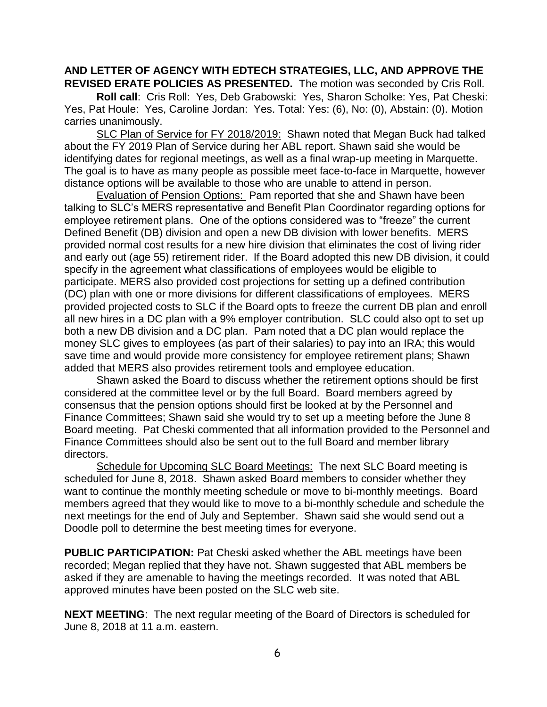## **AND LETTER OF AGENCY WITH EDTECH STRATEGIES, LLC, AND APPROVE THE REVISED ERATE POLICIES AS PRESENTED.** The motion was seconded by Cris Roll.

**Roll call**: Cris Roll: Yes, Deb Grabowski: Yes, Sharon Scholke: Yes, Pat Cheski: Yes, Pat Houle: Yes, Caroline Jordan: Yes. Total: Yes: (6), No: (0), Abstain: (0). Motion carries unanimously.

SLC Plan of Service for FY 2018/2019: Shawn noted that Megan Buck had talked about the FY 2019 Plan of Service during her ABL report. Shawn said she would be identifying dates for regional meetings, as well as a final wrap-up meeting in Marquette. The goal is to have as many people as possible meet face-to-face in Marquette, however distance options will be available to those who are unable to attend in person.

**Evaluation of Pension Options:** Pam reported that she and Shawn have been talking to SLC's MERS representative and Benefit Plan Coordinator regarding options for employee retirement plans. One of the options considered was to "freeze" the current Defined Benefit (DB) division and open a new DB division with lower benefits. MERS provided normal cost results for a new hire division that eliminates the cost of living rider and early out (age 55) retirement rider. If the Board adopted this new DB division, it could specify in the agreement what classifications of employees would be eligible to participate. MERS also provided cost projections for setting up a defined contribution (DC) plan with one or more divisions for different classifications of employees. MERS provided projected costs to SLC if the Board opts to freeze the current DB plan and enroll all new hires in a DC plan with a 9% employer contribution. SLC could also opt to set up both a new DB division and a DC plan. Pam noted that a DC plan would replace the money SLC gives to employees (as part of their salaries) to pay into an IRA; this would save time and would provide more consistency for employee retirement plans; Shawn added that MERS also provides retirement tools and employee education.

Shawn asked the Board to discuss whether the retirement options should be first considered at the committee level or by the full Board. Board members agreed by consensus that the pension options should first be looked at by the Personnel and Finance Committees; Shawn said she would try to set up a meeting before the June 8 Board meeting. Pat Cheski commented that all information provided to the Personnel and Finance Committees should also be sent out to the full Board and member library directors.

Schedule for Upcoming SLC Board Meetings: The next SLC Board meeting is scheduled for June 8, 2018. Shawn asked Board members to consider whether they want to continue the monthly meeting schedule or move to bi-monthly meetings. Board members agreed that they would like to move to a bi-monthly schedule and schedule the next meetings for the end of July and September. Shawn said she would send out a Doodle poll to determine the best meeting times for everyone.

**PUBLIC PARTICIPATION:** Pat Cheski asked whether the ABL meetings have been recorded; Megan replied that they have not. Shawn suggested that ABL members be asked if they are amenable to having the meetings recorded. It was noted that ABL approved minutes have been posted on the SLC web site.

**NEXT MEETING**: The next regular meeting of the Board of Directors is scheduled for June 8, 2018 at 11 a.m. eastern.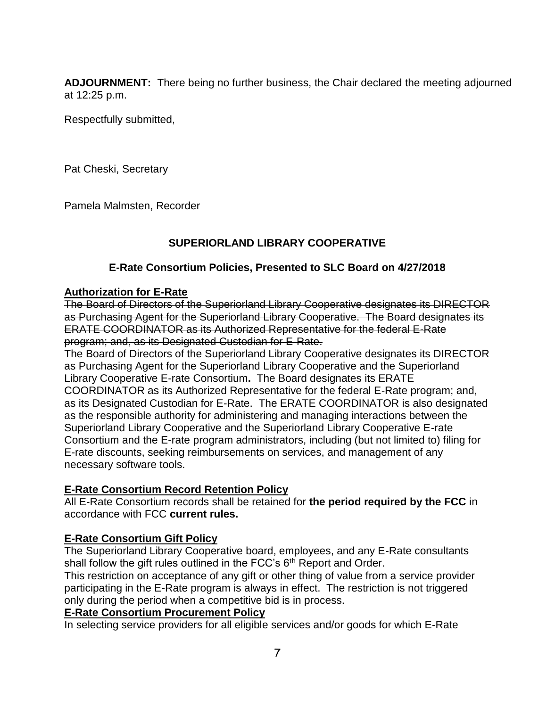**ADJOURNMENT:** There being no further business, the Chair declared the meeting adjourned at 12:25 p.m.

Respectfully submitted,

Pat Cheski, Secretary

Pamela Malmsten, Recorder

## **SUPERIORLAND LIBRARY COOPERATIVE**

## **E-Rate Consortium Policies, Presented to SLC Board on 4/27/2018**

## **Authorization for E-Rate**

The Board of Directors of the Superiorland Library Cooperative designates its DIRECTOR as Purchasing Agent for the Superiorland Library Cooperative. The Board designates its ERATE COORDINATOR as its Authorized Representative for the federal E-Rate program; and, as its Designated Custodian for E-Rate.

The Board of Directors of the Superiorland Library Cooperative designates its DIRECTOR as Purchasing Agent for the Superiorland Library Cooperative and the Superiorland Library Cooperative E-rate Consortium**.** The Board designates its ERATE COORDINATOR as its Authorized Representative for the federal E-Rate program; and, as its Designated Custodian for E-Rate. The ERATE COORDINATOR is also designated as the responsible authority for administering and managing interactions between the Superiorland Library Cooperative and the Superiorland Library Cooperative E-rate Consortium and the E-rate program administrators, including (but not limited to) filing for E-rate discounts, seeking reimbursements on services, and management of any necessary software tools.

## **E-Rate Consortium Record Retention Policy**

All E-Rate Consortium records shall be retained for **the period required by the FCC** in accordance with FCC **current rules.** 

## **E-Rate Consortium Gift Policy**

The Superiorland Library Cooperative board, employees, and any E-Rate consultants shall follow the gift rules outlined in the FCC's  $6<sup>th</sup>$  Report and Order.

This restriction on acceptance of any gift or other thing of value from a service provider participating in the E-Rate program is always in effect. The restriction is not triggered only during the period when a competitive bid is in process.

## **E-Rate Consortium Procurement Policy**

In selecting service providers for all eligible services and/or goods for which E-Rate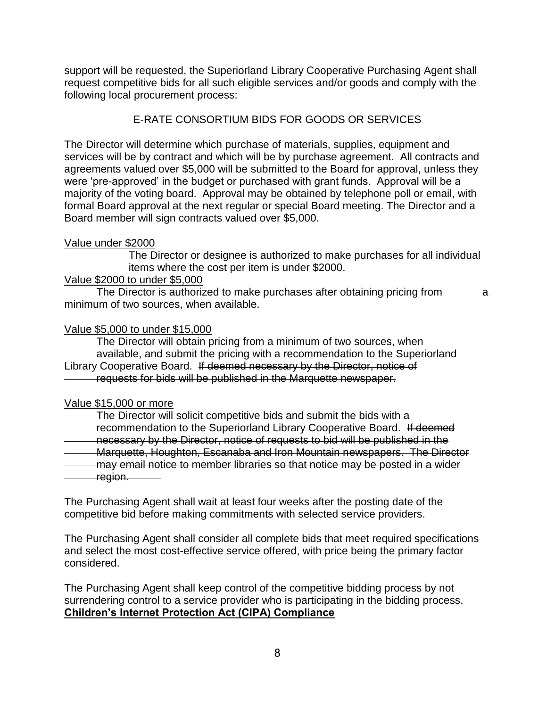support will be requested, the Superiorland Library Cooperative Purchasing Agent shall request competitive bids for all such eligible services and/or goods and comply with the following local procurement process:

## E-RATE CONSORTIUM BIDS FOR GOODS OR SERVICES

The Director will determine which purchase of materials, supplies, equipment and services will be by contract and which will be by purchase agreement. All contracts and agreements valued over \$5,000 will be submitted to the Board for approval, unless they were 'pre-approved' in the budget or purchased with grant funds. Approval will be a majority of the voting board. Approval may be obtained by telephone poll or email, with formal Board approval at the next regular or special Board meeting. The Director and a Board member will sign contracts valued over \$5,000.

## Value under \$2000

The Director or designee is authorized to make purchases for all individual items where the cost per item is under \$2000.

## Value \$2000 to under \$5,000

The Director is authorized to make purchases after obtaining pricing from a minimum of two sources, when available.

## Value \$5,000 to under \$15,000

The Director will obtain pricing from a minimum of two sources, when available, and submit the pricing with a recommendation to the Superiorland Library Cooperative Board. If deemed necessary by the Director, notice of requests for bids will be published in the Marquette newspaper.

#### Value \$15,000 or more

The Director will solicit competitive bids and submit the bids with a recommendation to the Superiorland Library Cooperative Board. If deemed necessary by the Director, notice of requests to bid will be published in the Marquette, Houghton, Escanaba and Iron Mountain newspapers. The Director may email notice to member libraries so that notice may be posted in a wider region.

The Purchasing Agent shall wait at least four weeks after the posting date of the competitive bid before making commitments with selected service providers.

The Purchasing Agent shall consider all complete bids that meet required specifications and select the most cost-effective service offered, with price being the primary factor considered.

The Purchasing Agent shall keep control of the competitive bidding process by not surrendering control to a service provider who is participating in the bidding process. **Children's Internet Protection Act (CIPA) Compliance**